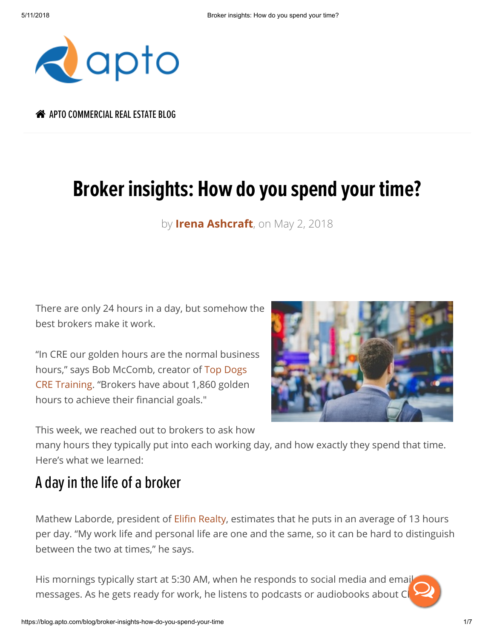

A [APTO COMMERCIAL](https://blog.apto.com/blog) REAL ESTATE BLOG

## Broker insights: How do you spend your time?

by **[Irena Ashcraft](https://blog.apto.com/blog/author/irena-ashcraft)**, on May 2, 2018

There are only 24 hours in a day, but somehow the best brokers make it work.

"In CRE our golden hours are the normal business hours," says Bob McComb, creator of Top Dogs [CRE Training. "Brokers have about 1,860 golden](http://www.tdogs.com/) hours to achieve their financial goals."

This week, we reached out to brokers to ask how

many hours they typically put into each working day, and how exactly they spend that time. Here's what we learned:

## A day in the life of a broker

Mathew Laborde, president of Elifin Realty, estimates that he puts in an average of 13 hours per day. "My work life and personal life are one and the same, so it can be hard to distinguish between the two at times," he says.

His mornings typically start at 5:30 AM, when he responds to social media and email messages. As he gets ready for work, he listens to podcasts or audiobooks about CH

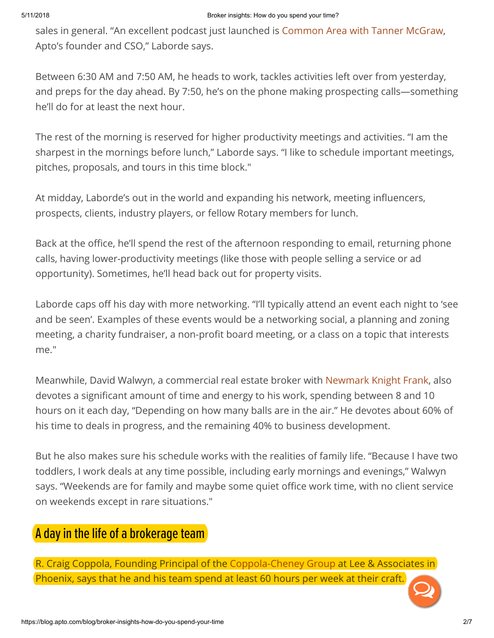sales in general. "An excellent podcast just launched is [Common Area with Tanner McGraw,](https://blog.apto.com/blog/new-podcast-series-common-area-with-tanner-mcgraw) Apto's founder and CSO," Laborde says.

Between 6:30 AM and 7:50 AM, he heads to work, tackles activities left over from yesterday, and preps for the day ahead. By 7:50, he's on the phone making prospecting calls—something he'll do for at least the next hour.

The rest of the morning is reserved for higher productivity meetings and activities. "I am the sharpest in the mornings before lunch," Laborde says. "I like to schedule important meetings, pitches, proposals, and tours in this time block."

At midday, Laborde's out in the world and expanding his network, meeting influencers, prospects, clients, industry players, or fellow Rotary members for lunch.

Back at the office, he'll spend the rest of the afternoon responding to email, returning phone calls, having lower-productivity meetings (like those with people selling a service or ad opportunity). Sometimes, he'll head back out for property visits.

Laborde caps off his day with more networking. "I'll typically attend an event each night to 'see and be seen'. Examples of these events would be a networking social, a planning and zoning meeting, a charity fundraiser, a non-profit board meeting, or a class on a topic that interests me."

Meanwhile, David Walwyn, a commercial real estate broker with [Newmark Knight Frank,](http://www.ngkf.com/home/about-our-firm/global-offices/us-offices/san-rafael/professional-profiles.aspx?d=40603) also devotes a significant amount of time and energy to his work, spending between 8 and 10 hours on it each day, "Depending on how many balls are in the air." He devotes about 60% of his time to deals in progress, and the remaining 40% to business development.

But he also makes sure his schedule works with the realities of family life. "Because I have two toddlers, I work deals at any time possible, including early mornings and evenings," Walwyn says. "Weekends are for family and maybe some quiet office work time, with no client service on weekends except in rare situations."

## A day in the life of a brokerage team

R. Craig Coppola, Founding Principal of the [Coppola-Cheney Group](http://www.c2brokerage.com/) at Lee & Associates in Phoenix, says that he and his team spend at least 60 hours per week at their craft.